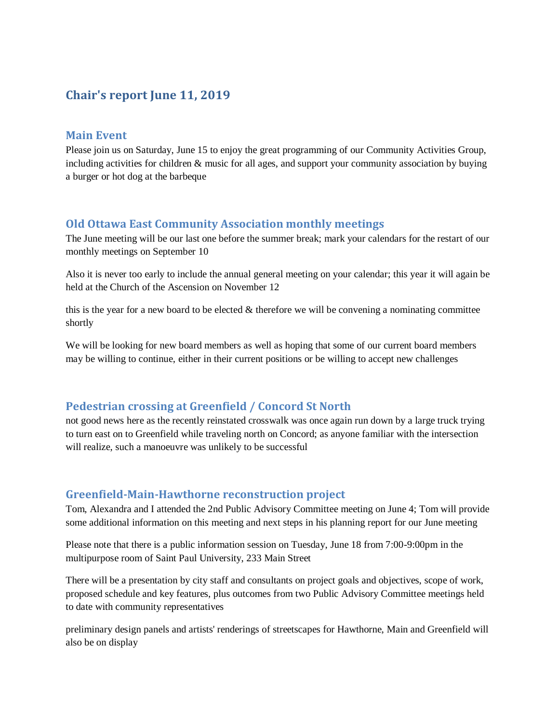# **Chair's report June 11, 2019**

#### **Main Event**

Please join us on Saturday, June 15 to enjoy the great programming of our Community Activities Group, including activities for children & music for all ages, and support your community association by buying a burger or hot dog at the barbeque

### **Old Ottawa East Community Association monthly meetings**

The June meeting will be our last one before the summer break; mark your calendars for the restart of our monthly meetings on September 10

Also it is never too early to include the annual general meeting on your calendar; this year it will again be held at the Church of the Ascension on November 12

this is the year for a new board to be elected  $&$  therefore we will be convening a nominating committee shortly

We will be looking for new board members as well as hoping that some of our current board members may be willing to continue, either in their current positions or be willing to accept new challenges

#### **Pedestrian crossing at Greenfield / Concord St North**

not good news here as the recently reinstated crosswalk was once again run down by a large truck trying to turn east on to Greenfield while traveling north on Concord; as anyone familiar with the intersection will realize, such a manoeuvre was unlikely to be successful

#### **Greenfield-Main-Hawthorne reconstruction project**

Tom, Alexandra and I attended the 2nd Public Advisory Committee meeting on June 4; Tom will provide some additional information on this meeting and next steps in his planning report for our June meeting

Please note that there is a public information session on Tuesday, June 18 from 7:00-9:00pm in the multipurpose room of Saint Paul University, 233 Main Street

There will be a presentation by city staff and consultants on project goals and objectives, scope of work, proposed schedule and key features, plus outcomes from two Public Advisory Committee meetings held to date with community representatives

preliminary design panels and artists' renderings of streetscapes for Hawthorne, Main and Greenfield will also be on display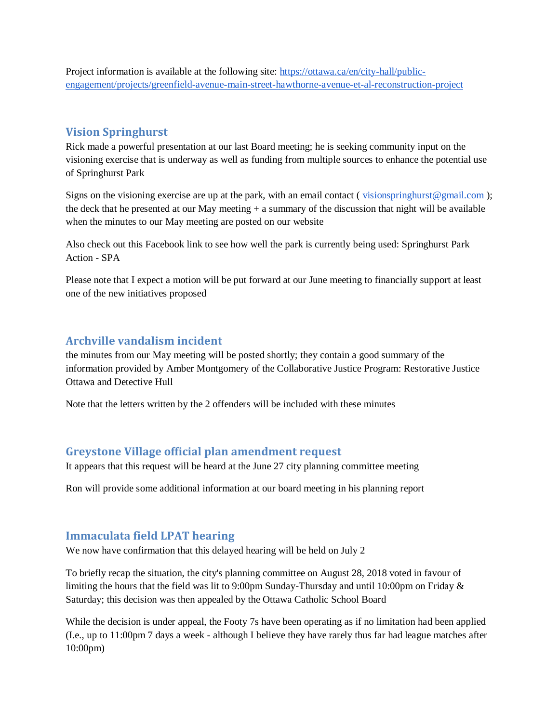Project information is available at the following site: [https://ottawa.ca/en/city-hall/public](https://ottawa.ca/en/city-hall/public-engagement/projects/greenfield-avenue-main-street-hawthorne-avenue-et-al-reconstruction-project)[engagement/projects/greenfield-avenue-main-street-hawthorne-avenue-et-al-reconstruction-project](https://ottawa.ca/en/city-hall/public-engagement/projects/greenfield-avenue-main-street-hawthorne-avenue-et-al-reconstruction-project)

## **Vision Springhurst**

Rick made a powerful presentation at our last Board meeting; he is seeking community input on the visioning exercise that is underway as well as funding from multiple sources to enhance the potential use of Springhurst Park

Signs on the visioning exercise are up at the park, with an email contact ( $\frac{visionspringburst@gmail.com}{sim}$ ); the deck that he presented at our May meeting + a summary of the discussion that night will be available when the minutes to our May meeting are posted on our website

Also check out this Facebook link to see how well the park is currently being used: Springhurst Park Action - SPA

Please note that I expect a motion will be put forward at our June meeting to financially support at least one of the new initiatives proposed

### **Archville vandalism incident**

the minutes from our May meeting will be posted shortly; they contain a good summary of the information provided by Amber Montgomery of the Collaborative Justice Program: Restorative Justice Ottawa and Detective Hull

Note that the letters written by the 2 offenders will be included with these minutes

#### **Greystone Village official plan amendment request**

It appears that this request will be heard at the June 27 city planning committee meeting

Ron will provide some additional information at our board meeting in his planning report

#### **Immaculata field LPAT hearing**

We now have confirmation that this delayed hearing will be held on July 2

To briefly recap the situation, the city's planning committee on August 28, 2018 voted in favour of limiting the hours that the field was lit to 9:00pm Sunday-Thursday and until 10:00pm on Friday & Saturday; this decision was then appealed by the Ottawa Catholic School Board

While the decision is under appeal, the Footy 7s have been operating as if no limitation had been applied (I.e., up to 11:00pm 7 days a week - although I believe they have rarely thus far had league matches after 10:00pm)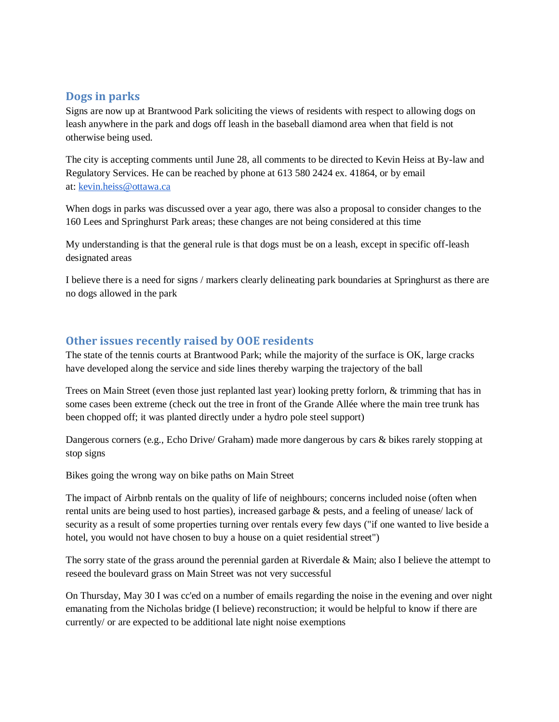### **Dogs in parks**

Signs are now up at Brantwood Park soliciting the views of residents with respect to allowing dogs on leash anywhere in the park and dogs off leash in the baseball diamond area when that field is not otherwise being used.

The city is accepting comments until June 28, all comments to be directed to Kevin Heiss at By-law and Regulatory Services. He can be reached by phone at 613 580 2424 ex. 41864, or by email at: [kevin.heiss@ottawa.ca](mailto:kevin.heiss@ottawa.ca)

When dogs in parks was discussed over a year ago, there was also a proposal to consider changes to the 160 Lees and Springhurst Park areas; these changes are not being considered at this time

My understanding is that the general rule is that dogs must be on a leash, except in specific off-leash designated areas

I believe there is a need for signs / markers clearly delineating park boundaries at Springhurst as there are no dogs allowed in the park

### **Other issues recently raised by OOE residents**

The state of the tennis courts at Brantwood Park; while the majority of the surface is OK, large cracks have developed along the service and side lines thereby warping the trajectory of the ball

Trees on Main Street (even those just replanted last year) looking pretty forlorn, & trimming that has in some cases been extreme (check out the tree in front of the Grande Allée where the main tree trunk has been chopped off; it was planted directly under a hydro pole steel support)

Dangerous corners (e.g., Echo Drive/ Graham) made more dangerous by cars & bikes rarely stopping at stop signs

Bikes going the wrong way on bike paths on Main Street

The impact of Airbnb rentals on the quality of life of neighbours; concerns included noise (often when rental units are being used to host parties), increased garbage & pests, and a feeling of unease/ lack of security as a result of some properties turning over rentals every few days ("if one wanted to live beside a hotel, you would not have chosen to buy a house on a quiet residential street")

The sorry state of the grass around the perennial garden at Riverdale & Main; also I believe the attempt to reseed the boulevard grass on Main Street was not very successful

On Thursday, May 30 I was cc'ed on a number of emails regarding the noise in the evening and over night emanating from the Nicholas bridge (I believe) reconstruction; it would be helpful to know if there are currently/ or are expected to be additional late night noise exemptions